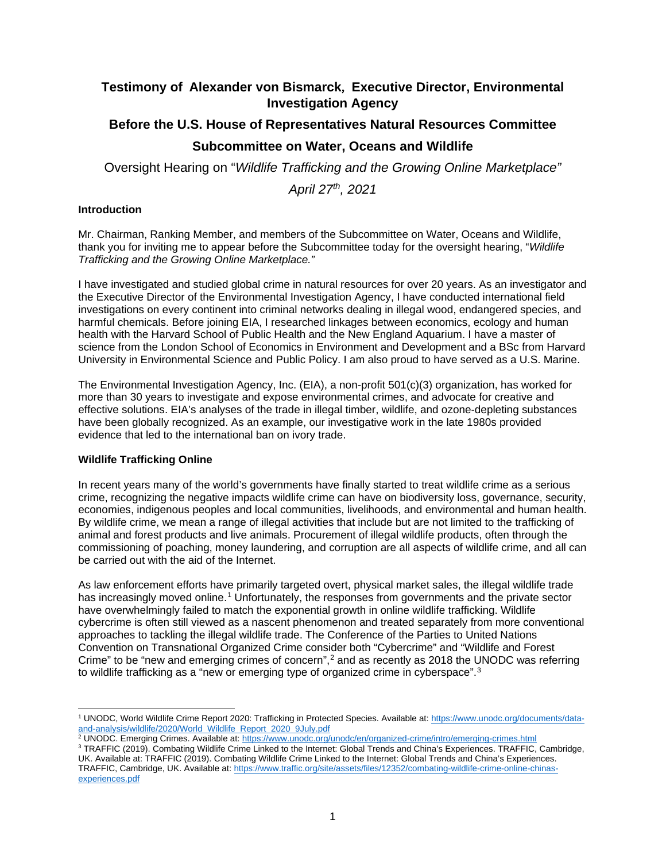# **Testimony of Alexander von Bismarck**, **Executive Director, Environmental Investigation Agency**

# **Before the U.S. House of Representatives Natural Resources Committee Subcommittee on Water, Oceans and Wildlife**

Oversight Hearing on "*Wildlife Trafficking and the Growing Online Marketplace"*

*April 27th, 2021*

## **Introduction**

Mr. Chairman, Ranking Member, and members of the Subcommittee on Water, Oceans and Wildlife, thank you for inviting me to appear before the Subcommittee today for the oversight hearing, "*Wildlife Trafficking and the Growing Online Marketplace."*

I have investigated and studied global crime in natural resources for over 20 years. As an investigator and the Executive Director of the Environmental Investigation Agency, I have conducted international field investigations on every continent into criminal networks dealing in illegal wood, endangered species, and harmful chemicals. Before joining EIA, I researched linkages between economics, ecology and human health with the Harvard School of Public Health and the New England Aquarium. I have a master of science from the London School of Economics in Environment and Development and a BSc from Harvard University in Environmental Science and Public Policy. I am also proud to have served as a U.S. Marine.

The Environmental Investigation Agency, Inc. (EIA), a non-profit 501(c)(3) organization, has worked for more than 30 years to investigate and expose environmental crimes, and advocate for creative and effective solutions. EIA's analyses of the trade in illegal timber, wildlife, and ozone-depleting substances have been globally recognized. As an example, our investigative work in the late 1980s provided evidence that led to the international ban on ivory trade.

## **Wildlife Trafficking Online**

In recent years many of the world's governments have finally started to treat wildlife crime as a serious crime, recognizing the negative impacts wildlife crime can have on biodiversity loss, governance, security, economies, indigenous peoples and local communities, livelihoods, and environmental and human health. By wildlife crime, we mean a range of illegal activities that include but are not limited to the trafficking of animal and forest products and live animals. Procurement of illegal wildlife products, often through the commissioning of poaching, money laundering, and corruption are all aspects of wildlife crime, and all can be carried out with the aid of the Internet.

As law enforcement efforts have primarily targeted overt, physical market sales, the illegal wildlife trade has increasingly moved online.<sup>[1](#page-0-0)</sup> Unfortunately, the responses from governments and the private sector have overwhelmingly failed to match the exponential growth in online wildlife trafficking. Wildlife cybercrime is often still viewed as a nascent phenomenon and treated separately from more conventional approaches to tackling the illegal wildlife trade. The Conference of the Parties to United Nations Convention on Transnational Organized Crime consider both "Cybercrime" and "Wildlife and Forest Crime" to be "new and emerging crimes of concern",<sup>[2](#page-0-1)</sup> and as recently as 2018 the UNODC was referring to wildlife trafficking as a "new or emerging type of organized crime in cyberspace".<sup>[3](#page-0-2)</sup>

- <span id="page-0-1"></span><sup>2</sup> UNODC. Emerging Crimes. Available at:<https://www.unodc.org/unodc/en/organized-crime/intro/emerging-crimes.html>
- <span id="page-0-2"></span>3 TRAFFIC (2019). Combating Wildlife Crime Linked to the Internet: Global Trends and China's Experiences. TRAFFIC, Cambridge, UK. Available at: TRAFFIC (2019). Combating Wildlife Crime Linked to the Internet: Global Trends and China's Experiences. TRAFFIC, Cambridge, UK. Available at: [https://www.traffic.org/site/assets/files/12352/combating-wildlife-crime-online-chinas](https://www.traffic.org/site/assets/files/12352/combating-wildlife-crime-online-chinas-experiences.pdf)[experiences.pdf](https://www.traffic.org/site/assets/files/12352/combating-wildlife-crime-online-chinas-experiences.pdf)

<span id="page-0-0"></span><sup>&</sup>lt;sup>1</sup> UNODC, World Wildlife Crime Report 2020: Trafficking in Protected Species. Available at[: https://www.unodc.org/documents/data](https://www.unodc.org/documents/data-and-analysis/wildlife/2020/World_Wildlife_Report_2020_9July.pdf)[and-analysis/wildlife/2020/World\\_Wildlife\\_Report\\_2020\\_9July.pdf](https://www.unodc.org/documents/data-and-analysis/wildlife/2020/World_Wildlife_Report_2020_9July.pdf)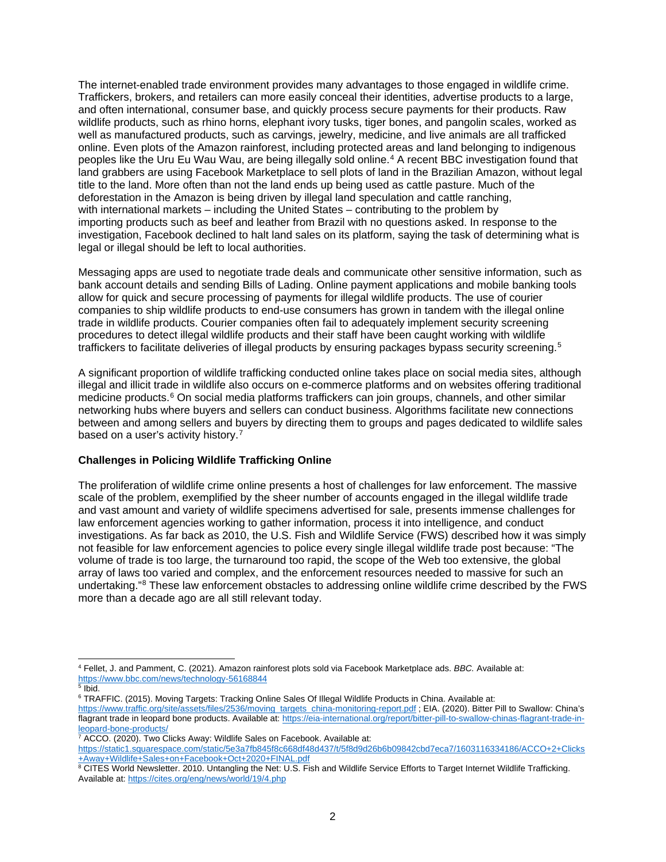The internet-enabled trade environment provides many advantages to those engaged in wildlife crime. Traffickers, brokers, and retailers can more easily conceal their identities, advertise products to a large, and often international, consumer base, and quickly process secure payments for their products. Raw wildlife products, such as rhino horns, elephant ivory tusks, tiger bones, and pangolin scales, worked as well as manufactured products, such as carvings, jewelry, medicine, and live animals are all trafficked online. Even plots of the Amazon rainforest, including protected areas and land belonging to indigenous peoples like the Uru Eu Wau Wau, are being illegally sold online.[4](#page-1-0) A recent BBC investigation found that land grabbers are using Facebook Marketplace to sell plots of land in the Brazilian Amazon, without legal title to the land. More often than not the land ends up being used as cattle pasture. Much of the deforestation in the Amazon is being driven by illegal land speculation and cattle ranching, with international markets – including the United States – contributing to the problem by importing products such as beef and leather from Brazil with no questions asked. In response to the investigation, Facebook declined to halt land sales on its platform, saying the task of determining what is legal or illegal should be left to local authorities.

Messaging apps are used to negotiate trade deals and communicate other sensitive information, such as bank account details and sending Bills of Lading. Online payment applications and mobile banking tools allow for quick and secure processing of payments for illegal wildlife products. The use of courier companies to ship wildlife products to end-use consumers has grown in tandem with the illegal online trade in wildlife products. Courier companies often fail to adequately implement security screening procedures to detect illegal wildlife products and their staff have been caught working with wildlife traffickers to facilitate deliveries of illegal products by ensuring packages bypass security screening.<sup>[5](#page-1-1)</sup>

A significant proportion of wildlife trafficking conducted online takes place on social media sites, although illegal and illicit trade in wildlife also occurs on e-commerce platforms and on websites offering traditional medicine products.<sup>[6](#page-1-2)</sup> On social media platforms traffickers can join groups, channels, and other similar networking hubs where buyers and sellers can conduct business. Algorithms facilitate new connections between and among sellers and buyers by directing them to groups and pages dedicated to wildlife sales based on a user's activity history.<sup>[7](#page-1-3)</sup>

#### **Challenges in Policing Wildlife Trafficking Online**

The proliferation of wildlife crime online presents a host of challenges for law enforcement. The massive scale of the problem, exemplified by the sheer number of accounts engaged in the illegal wildlife trade and vast amount and variety of wildlife specimens advertised for sale, presents immense challenges for law enforcement agencies working to gather information, process it into intelligence, and conduct investigations. As far back as 2010, the U.S. Fish and Wildlife Service (FWS) described how it was simply not feasible for law enforcement agencies to police every single illegal wildlife trade post because: "The volume of trade is too large, the turnaround too rapid, the scope of the Web too extensive, the global array of laws too varied and complex, and the enforcement resources needed to massive for such an undertaking."[8](#page-1-4) These law enforcement obstacles to addressing online wildlife crime described by the FWS more than a decade ago are all still relevant today.

<span id="page-1-0"></span><sup>4</sup> Fellet, J. and Pamment, C. (2021). Amazon rainforest plots sold via Facebook Marketplace ads. *BBC.* Available at: <https://www.bbc.com/news/technology-56168844>

<span id="page-1-1"></span> $\frac{1}{5}$  Ibid.

<span id="page-1-2"></span><sup>6</sup> TRAFFIC. (2015). Moving Targets: Tracking Online Sales Of Illegal Wildlife Products in China. Available at: [https://www.traffic.org/site/assets/files/2536/moving\\_targets\\_china-monitoring-report.pdf](https://www.traffic.org/site/assets/files/2536/moving_targets_china-monitoring-report.pdf) ; EIA. (2020). Bitter Pill to Swallow: China's flagrant trade in leopard bone products. Available at[: https://eia-international.org/report/bitter-pill-to-swallow-chinas-flagrant-trade-in](https://eia-international.org/report/bitter-pill-to-swallow-chinas-flagrant-trade-in-leopard-bone-products/)[leopard-bone-products/](https://eia-international.org/report/bitter-pill-to-swallow-chinas-flagrant-trade-in-leopard-bone-products/)

<span id="page-1-3"></span> $7$  ACCO. (2020). Two Clicks Away: Wildlife Sales on Facebook. Available at:

[https://static1.squarespace.com/static/5e3a7fb845f8c668df48d437/t/5f8d9d26b6b09842cbd7eca7/1603116334186/ACCO+2+Clicks](https://static1.squarespace.com/static/5e3a7fb845f8c668df48d437/t/5f8d9d26b6b09842cbd7eca7/1603116334186/ACCO+2+Clicks+Away+Wildlife+Sales+on+Facebook+Oct+2020+FINAL.pdf) [+Away+Wildlife+Sales+on+Facebook+Oct+2020+FINAL.pdf](https://static1.squarespace.com/static/5e3a7fb845f8c668df48d437/t/5f8d9d26b6b09842cbd7eca7/1603116334186/ACCO+2+Clicks+Away+Wildlife+Sales+on+Facebook+Oct+2020+FINAL.pdf)

<span id="page-1-4"></span><sup>&</sup>lt;sup>8</sup> CITES World Newsletter. 2010. Untangling the Net: U.S. Fish and Wildlife Service Efforts to Target Internet Wildlife Trafficking. Available at:<https://cites.org/eng/news/world/19/4.php>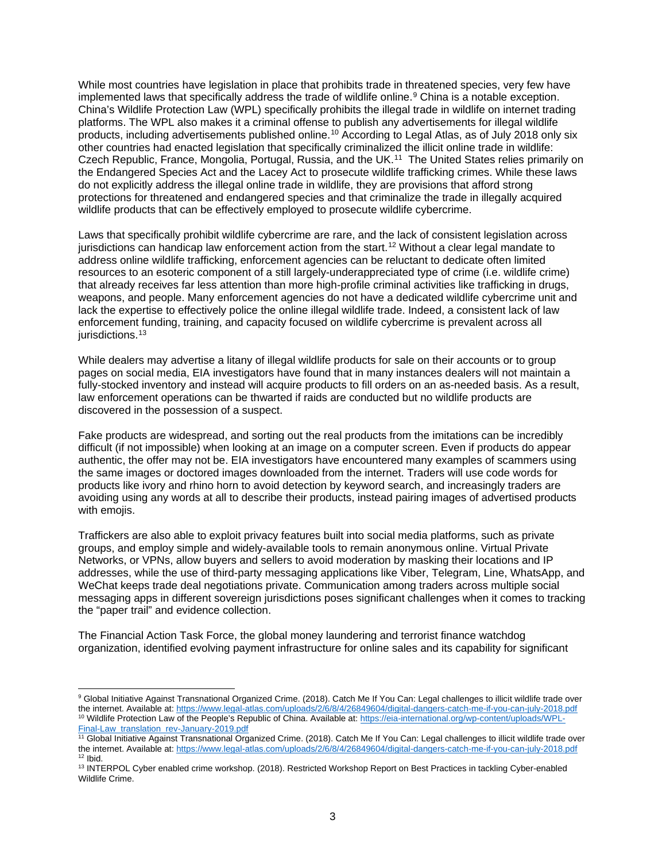While most countries have legislation in place that prohibits trade in threatened species, very few have implemented laws that specifically address the trade of wildlife online.<sup>[9](#page-2-0)</sup> China is a notable exception. China's Wildlife Protection Law (WPL) specifically prohibits the illegal trade in wildlife on internet trading platforms. The WPL also makes it a criminal offense to publish any advertisements for illegal wildlife products, including advertisements published online.[10](#page-2-1) According to Legal Atlas, as of July 2018 only six other countries had enacted legislation that specifically criminalized the illicit online trade in wildlife: Czech Republic, France, Mongolia, Portugal, Russia, and the UK.[11](#page-2-2) The United States relies primarily on the Endangered Species Act and the Lacey Act to prosecute wildlife trafficking crimes. While these laws do not explicitly address the illegal online trade in wildlife, they are provisions that afford strong protections for threatened and endangered species and that criminalize the trade in illegally acquired wildlife products that can be effectively employed to prosecute wildlife cybercrime.

Laws that specifically prohibit wildlife cybercrime are rare, and the lack of consistent legislation across jurisdictions can handicap law enforcement action from the start.<sup>[12](#page-2-3)</sup> Without a clear legal mandate to address online wildlife trafficking, enforcement agencies can be reluctant to dedicate often limited resources to an esoteric component of a still largely-underappreciated type of crime (i.e. wildlife crime) that already receives far less attention than more high-profile criminal activities like trafficking in drugs, weapons, and people. Many enforcement agencies do not have a dedicated wildlife cybercrime unit and lack the expertise to effectively police the online illegal wildlife trade. Indeed, a consistent lack of law enforcement funding, training, and capacity focused on wildlife cybercrime is prevalent across all jurisdictions. [13](#page-2-4)

While dealers may advertise a litany of illegal wildlife products for sale on their accounts or to group pages on social media, EIA investigators have found that in many instances dealers will not maintain a fully-stocked inventory and instead will acquire products to fill orders on an as-needed basis. As a result, law enforcement operations can be thwarted if raids are conducted but no wildlife products are discovered in the possession of a suspect.

Fake products are widespread, and sorting out the real products from the imitations can be incredibly difficult (if not impossible) when looking at an image on a computer screen. Even if products do appear authentic, the offer may not be. EIA investigators have encountered many examples of scammers using the same images or doctored images downloaded from the internet. Traders will use code words for products like ivory and rhino horn to avoid detection by keyword search, and increasingly traders are avoiding using any words at all to describe their products, instead pairing images of advertised products with emoiis.

Traffickers are also able to exploit privacy features built into social media platforms, such as private groups, and employ simple and widely-available tools to remain anonymous online. Virtual Private Networks, or VPNs, allow buyers and sellers to avoid moderation by masking their locations and IP addresses, while the use of third-party messaging applications like Viber, Telegram, Line, WhatsApp, and WeChat keeps trade deal negotiations private. Communication among traders across multiple social messaging apps in different sovereign jurisdictions poses significant challenges when it comes to tracking the "paper trail" and evidence collection.

The Financial Action Task Force, the global money laundering and terrorist finance watchdog organization, identified evolving payment infrastructure for online sales and its capability for significant

<span id="page-2-0"></span><sup>9</sup> Global Initiative Against Transnational Organized Crime. (2018). Catch Me If You Can: Legal challenges to illicit wildlife trade over the internet. Available at[: https://www.legal-atlas.com/uploads/2/6/8/4/26849604/digital-dangers-catch-me-if-you-can-july-2018.pdf](https://www.legal-atlas.com/uploads/2/6/8/4/26849604/digital-dangers-catch-me-if-you-can-july-2018.pdf) <sup>10</sup> Wildlife Protection Law of the People's Republic of China. Available at: <u>https://eia-international.org/wp-content/uploads/WPL-</u> [Final-Law\\_translation\\_rev-January-2019.pdf](https://eia-international.org/wp-content/uploads/WPL-Final-Law_translation_rev-January-2019.pdf)

<span id="page-2-2"></span><span id="page-2-1"></span><sup>&</sup>lt;sup>11</sup> Global Initiative Against Transnational Organized Crime. (2018). Catch Me If You Can: Legal challenges to illicit wildlife trade over the internet. Available at[: https://www.legal-atlas.com/uploads/2/6/8/4/26849604/digital-dangers-catch-me-if-you-can-july-2018.pdf](https://www.legal-atlas.com/uploads/2/6/8/4/26849604/digital-dangers-catch-me-if-you-can-july-2018.pdf)  $12$  Ibid.

<span id="page-2-4"></span><span id="page-2-3"></span><sup>&</sup>lt;sup>13</sup> INTERPOL Cyber enabled crime workshop. (2018). Restricted Workshop Report on Best Practices in tackling Cyber-enabled Wildlife Crime.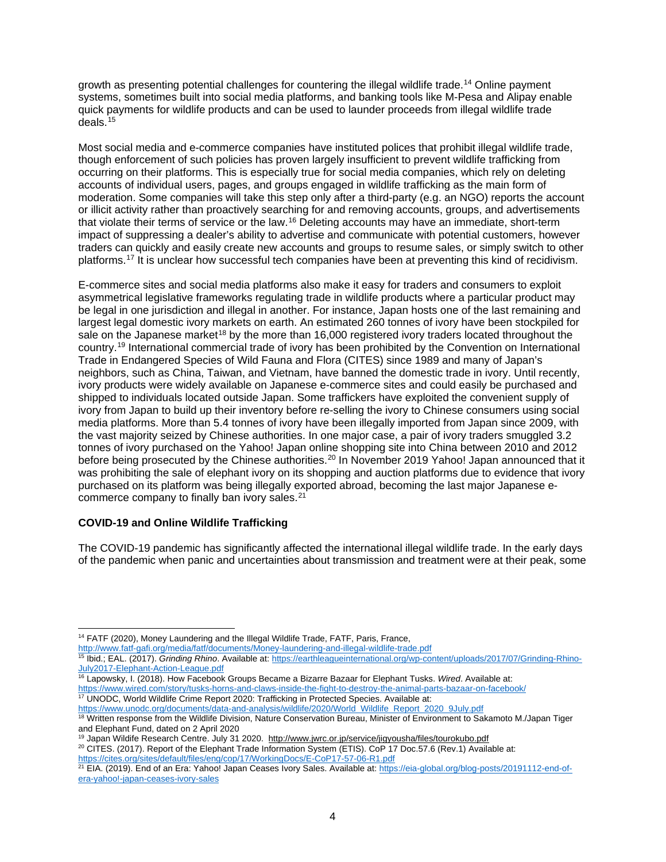growth as presenting potential challenges for countering the illegal wildlife trade.<sup>[14](#page-3-0)</sup> Online payment systems, sometimes built into social media platforms, and banking tools like M-Pesa and Alipay enable quick payments for wildlife products and can be used to launder proceeds from illegal wildlife trade deals.[15](#page-3-1)

Most social media and e-commerce companies have instituted polices that prohibit illegal wildlife trade, though enforcement of such policies has proven largely insufficient to prevent wildlife trafficking from occurring on their platforms. This is especially true for social media companies, which rely on deleting accounts of individual users, pages, and groups engaged in wildlife trafficking as the main form of moderation. Some companies will take this step only after a third-party (e.g. an NGO) reports the account or illicit activity rather than proactively searching for and removing accounts, groups, and advertisements that violate their terms of service or the law.[16](#page-3-2) Deleting accounts may have an immediate, short-term impact of suppressing a dealer's ability to advertise and communicate with potential customers, however traders can quickly and easily create new accounts and groups to resume sales, or simply switch to other platforms. [17](#page-3-3) It is unclear how successful tech companies have been at preventing this kind of recidivism.

E-commerce sites and social media platforms also make it easy for traders and consumers to exploit asymmetrical legislative frameworks regulating trade in wildlife products where a particular product may be legal in one jurisdiction and illegal in another. For instance, Japan hosts one of the last remaining and largest legal domestic ivory markets on earth. An estimated 260 tonnes of ivory have been stockpiled for sale on the Japanese market<sup>[18](#page-3-4)</sup> by the more than 16,000 registered ivory traders located throughout the country.[19](#page-3-5) International commercial trade of ivory has been prohibited by the Convention on International Trade in Endangered Species of Wild Fauna and Flora (CITES) since 1989 and many of Japan's neighbors, such as China, Taiwan, and Vietnam, have banned the domestic trade in ivory. Until recently, ivory products were widely available on Japanese e-commerce sites and could easily be purchased and shipped to individuals located outside Japan. Some traffickers have exploited the convenient supply of ivory from Japan to build up their inventory before re-selling the ivory to Chinese consumers using social media platforms. More than 5.4 tonnes of ivory have been illegally imported from Japan since 2009, with the vast majority seized by Chinese authorities. In one major case, a pair of ivory traders smuggled 3.2 tonnes of ivory purchased on the Yahoo! Japan online shopping site into China between 2010 and 2012 before being prosecuted by the Chinese authorities.<sup>[20](#page-3-6)</sup> In November 2019 Yahoo! Japan announced that it was prohibiting the sale of elephant ivory on its shopping and auction platforms due to evidence that ivory purchased on its platform was being illegally exported abroad, becoming the last major Japanese e-commerce company to finally ban ivory sales.<sup>[21](#page-3-7)</sup>

#### **COVID-19 and Online Wildlife Trafficking**

The COVID-19 pandemic has significantly affected the international illegal wildlife trade. In the early days of the pandemic when panic and uncertainties about transmission and treatment were at their peak, some

<span id="page-3-0"></span><http://www.fatf-gafi.org/media/fatf/documents/Money-laundering-and-illegal-wildlife-trade.pdf>

- <span id="page-3-2"></span><sup>16</sup> Lapowsky, I. (2018). How Facebook Groups Became a Bizarre Bazaar for Elephant Tusks. *Wired*. Available at: <https://www.wired.com/story/tusks-horns-and-claws-inside-the-fight-to-destroy-the-animal-parts-bazaar-on-facebook/> <sup>17</sup> UNODC, World Wildlife Crime Report 2020: Trafficking in Protected Species. Available at:
- <span id="page-3-3"></span>[https://www.unodc.org/documents/data-and-analysis/wildlife/2020/World\\_Wildlife\\_Report\\_2020\\_9July.pdf](https://www.unodc.org/documents/data-and-analysis/wildlife/2020/World_Wildlife_Report_2020_9July.pdf)

<span id="page-3-6"></span><span id="page-3-5"></span><sup>20</sup> CITES. (2017). Report of the Elephant Trade Information System (ETIS). CoP 17 Doc.57.6 (Rev.1) Available at: <https://cites.org/sites/default/files/eng/cop/17/WorkingDocs/E-CoP17-57-06-R1.pdf>

<sup>&</sup>lt;sup>14</sup> FATF (2020), Money Laundering and the Illegal Wildlife Trade, FATF, Paris, France,

<span id="page-3-1"></span><sup>15</sup> Ibid.; EAL. (2017). *Grinding Rhino*. Available at: [https://earthleagueinternational.org/wp-content/uploads/2017/07/Grinding-Rhino-](https://earthleagueinternational.org/wp-content/uploads/2017/07/Grinding-Rhino-July2017-Elephant-Action-League.pdf)[July2017-Elephant-Action-League.pdf](https://earthleagueinternational.org/wp-content/uploads/2017/07/Grinding-Rhino-July2017-Elephant-Action-League.pdf)

<span id="page-3-4"></span><sup>18</sup> Written response from the Wildlife Division, Nature Conservation Bureau, Minister of Environment to Sakamoto M./Japan Tiger and Elephant Fund, dated on 2 April 2020

<sup>&</sup>lt;sup>19</sup> Japan Wildife Research Centre. July 31 2020. <http://www.jwrc.or.jp/service/jigyousha/files/tourokubo.pdf>

<span id="page-3-7"></span><sup>&</sup>lt;sup>21</sup> EIA. (2019). End of an Era: Yahoo! Japan Ceases Ivory Sales. Available at: [https://eia-global.org/blog-posts/20191112-end-of](https://eia-global.org/blog-posts/20191112-end-of-era-yahoo!-japan-ceases-ivory-sales)[era-yahoo!-japan-ceases-ivory-sales](https://eia-global.org/blog-posts/20191112-end-of-era-yahoo!-japan-ceases-ivory-sales)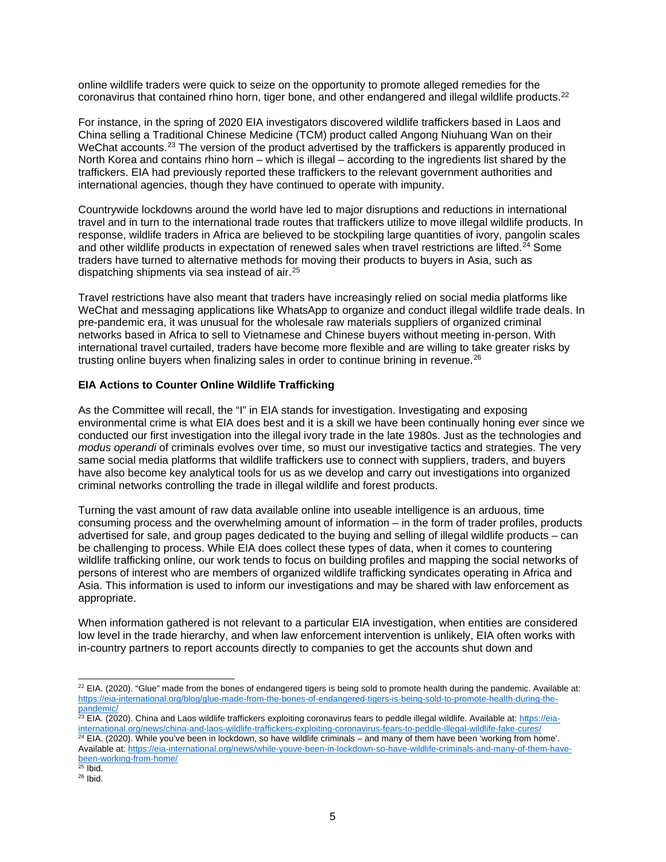online wildlife traders were quick to seize on the opportunity to promote alleged remedies for the coronavirus that contained rhino horn, tiger bone, and other endangered and illegal wildlife products.<sup>[22](#page-4-0)</sup>

For instance, in the spring of 2020 EIA investigators discovered wildlife traffickers based in Laos and China selling a Traditional Chinese Medicine (TCM) product called Angong Niuhuang Wan on their WeChat accounts.<sup>[23](#page-4-1)</sup> The version of the product advertised by the traffickers is apparently produced in North Korea and contains rhino horn – which is illegal – according to the ingredients list shared by the traffickers. EIA had previously reported these traffickers to the relevant government authorities and international agencies, though they have continued to operate with impunity.

Countrywide lockdowns around the world have led to major disruptions and reductions in international travel and in turn to the international trade routes that traffickers utilize to move illegal wildlife products. In response, wildlife traders in Africa are believed to be stockpiling large quantities of ivory, pangolin scales and other wildlife products in expectation of renewed sales when travel restrictions are lifted.<sup>24</sup> Some traders have turned to alternative methods for moving their products to buyers in Asia, such as dispatching shipments via sea instead of air.[25](#page-4-3)

Travel restrictions have also meant that traders have increasingly relied on social media platforms like WeChat and messaging applications like WhatsApp to organize and conduct illegal wildlife trade deals. In pre-pandemic era, it was unusual for the wholesale raw materials suppliers of organized criminal networks based in Africa to sell to Vietnamese and Chinese buyers without meeting in-person. With international travel curtailed, traders have become more flexible and are willing to take greater risks by trusting online buyers when finalizing sales in order to continue brining in revenue. $^{26}$  $^{26}$  $^{26}$ 

#### **EIA Actions to Counter Online Wildlife Trafficking**

As the Committee will recall, the "I" in EIA stands for investigation. Investigating and exposing environmental crime is what EIA does best and it is a skill we have been continually honing ever since we conducted our first investigation into the illegal ivory trade in the late 1980s. Just as the technologies and *modus operandi* of criminals evolves over time, so must our investigative tactics and strategies. The very same social media platforms that wildlife traffickers use to connect with suppliers, traders, and buyers have also become key analytical tools for us as we develop and carry out investigations into organized criminal networks controlling the trade in illegal wildlife and forest products.

Turning the vast amount of raw data available online into useable intelligence is an arduous, time consuming process and the overwhelming amount of information – in the form of trader profiles, products advertised for sale, and group pages dedicated to the buying and selling of illegal wildlife products – can be challenging to process. While EIA does collect these types of data, when it comes to countering wildlife trafficking online, our work tends to focus on building profiles and mapping the social networks of persons of interest who are members of organized wildlife trafficking syndicates operating in Africa and Asia. This information is used to inform our investigations and may be shared with law enforcement as appropriate.

When information gathered is not relevant to a particular EIA investigation, when entities are considered low level in the trade hierarchy, and when law enforcement intervention is unlikely, EIA often works with in-country partners to report accounts directly to companies to get the accounts shut down and

<span id="page-4-0"></span> $22$  EIA. (2020). "Glue" made from the bones of endangered tigers is being sold to promote health during the pandemic. Available at: [https://eia-international.org/blog/glue-made-from-the-bones-of-endangered-tigers-is-being-sold-to-promote-health-during-the](https://eia-international.org/blog/glue-made-from-the-bones-of-endangered-tigers-is-being-sold-to-promote-health-during-the-pandemic/)[pandemic/](https://eia-international.org/blog/glue-made-from-the-bones-of-endangered-tigers-is-being-sold-to-promote-health-during-the-pandemic/)

<span id="page-4-1"></span><sup>&</sup>lt;sup>23</sup> EIA. (2020). China and Laos wildlife traffickers exploiting coronavirus fears to peddle illegal wildlife. Available at: <u>https://eia-</u> [international.org/news/china-and-laos-wildlife-traffickers-exploiting-coronavirus-fears-to-peddle-illegal-wildlife-fake-cures/](https://eia-international.org/news/china-and-laos-wildlife-traffickers-exploiting-coronavirus-fears-to-peddle-illegal-wildlife-fake-cures/)  $24$  EIA. (2020). While you've been in lockdown, so have wildlife criminals – and many of them have been 'working from home'. Available at: [https://eia-international.org/news/while-youve-been-in-lockdown-so-have-wildlife-criminals-and-many-of-them-have-](https://eia-international.org/news/while-youve-been-in-lockdown-so-have-wildlife-criminals-and-many-of-them-have-been-working-from-home/)

<span id="page-4-2"></span>[been-working-from-home/](https://eia-international.org/news/while-youve-been-in-lockdown-so-have-wildlife-criminals-and-many-of-them-have-been-working-from-home/)<br><sup>25</sup> Ibid.

<span id="page-4-4"></span><span id="page-4-3"></span> $26$  Ibid.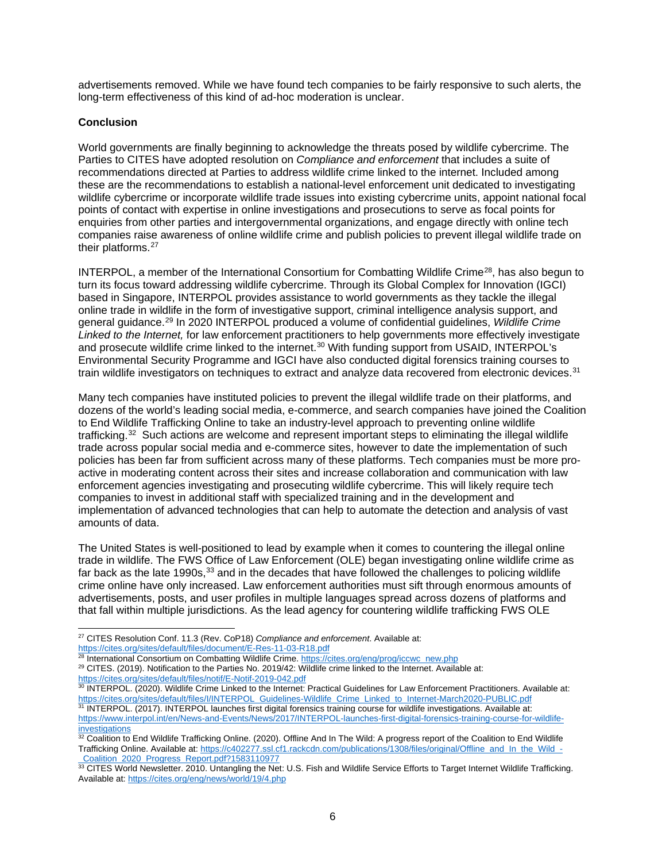advertisements removed. While we have found tech companies to be fairly responsive to such alerts, the long-term effectiveness of this kind of ad-hoc moderation is unclear.

#### **Conclusion**

World governments are finally beginning to acknowledge the threats posed by wildlife cybercrime. The Parties to CITES have adopted resolution on *Compliance and enforcement* that includes a suite of recommendations directed at Parties to address wildlife crime linked to the internet. Included among these are the recommendations to establish a national-level enforcement unit dedicated to investigating wildlife cybercrime or incorporate wildlife trade issues into existing cybercrime units, appoint national focal points of contact with expertise in online investigations and prosecutions to serve as focal points for enquiries from other parties and intergovernmental organizations, and engage directly with online tech companies raise awareness of online wildlife crime and publish policies to prevent illegal wildlife trade on their platforms.<sup>[27](#page-5-0)</sup>

INTERPOL, a member of the International Consortium for Combatting Wildlife Crime<sup>28</sup>, has also begun to turn its focus toward addressing wildlife cybercrime. Through its Global Complex for Innovation (IGCI) based in Singapore, INTERPOL provides assistance to world governments as they tackle the illegal online trade in wildlife in the form of investigative support, criminal intelligence analysis support, and general guidance.[29](#page-5-2) In 2020 INTERPOL produced a volume of confidential guidelines, *Wildlife Crime Linked to the Internet,* for law enforcement practitioners to help governments more effectively investigate and prosecute wildlife crime linked to the internet.<sup>[30](#page-5-3)</sup> With funding support from USAID, INTERPOL's Environmental Security Programme and IGCI have also conducted digital forensics training courses to train wildlife investigators on techniques to extract and analyze data recovered from electronic devices.<sup>[31](#page-5-4)</sup>

Many tech companies have instituted policies to prevent the illegal wildlife trade on their platforms, and dozens of the world's leading social media, e-commerce, and search companies have joined the Coalition to End Wildlife Trafficking Online to take an industry-level approach to preventing online wildlife trafficking. $32$  Such actions are welcome and represent important steps to eliminating the illegal wildlife trade across popular social media and e-commerce sites, however to date the implementation of such policies has been far from sufficient across many of these platforms. Tech companies must be more proactive in moderating content across their sites and increase collaboration and communication with law enforcement agencies investigating and prosecuting wildlife cybercrime. This will likely require tech companies to invest in additional staff with specialized training and in the development and implementation of advanced technologies that can help to automate the detection and analysis of vast amounts of data.

The United States is well-positioned to lead by example when it comes to countering the illegal online trade in wildlife. The FWS Office of Law Enforcement (OLE) began investigating online wildlife crime as far back as the late 1990s, $33$  and in the decades that have followed the challenges to policing wildlife crime online have only increased. Law enforcement authorities must sift through enormous amounts of advertisements, posts, and user profiles in multiple languages spread across dozens of platforms and that fall within multiple jurisdictions. As the lead agency for countering wildlife trafficking FWS OLE

<span id="page-5-2"></span><https://cites.org/sites/default/files/notif/E-Notif-2019-042.pdf>

<span id="page-5-0"></span><sup>27</sup> CITES Resolution Conf. 11.3 (Rev. CoP18) *Compliance and enforcement*. Available at: <https://cites.org/sites/default/files/document/E-Res-11-03-R18.pdf>

<span id="page-5-1"></span><sup>&</sup>lt;sup>28</sup> International Consortium on Combatting Wildlife Crime. [https://cites.org/eng/prog/iccwc\\_new.php](https://cites.org/eng/prog/iccwc_new.php) <sup>29</sup> CITES. (2019). Notification to the Parties No. 2019/42: Wildlife crime linked to the Internet. Available at:

<span id="page-5-3"></span><sup>30</sup> INTERPOL. (2020). Wildlife Crime Linked to the Internet: Practical Guidelines for Law Enforcement Practitioners. Available at: [https://cites.org/sites/default/files/I/INTERPOL\\_Guidelines-Wildlife\\_Crime\\_Linked\\_to\\_Internet-March2020-PUBLIC.pdf](https://cites.org/sites/default/files/I/INTERPOL_Guidelines-Wildlife_Crime_Linked_to_Internet-March2020-PUBLIC.pdf) <sup>31</sup> INTERPOL. (2017). INTERPOL launches first digital forensics training course for wildlife investigations. Available at:

<span id="page-5-4"></span>[https://www.interpol.int/en/News-and-Events/News/2017/INTERPOL-launches-first-digital-forensics-training-course-for-wildlife](https://www.interpol.int/en/News-and-Events/News/2017/INTERPOL-launches-first-digital-forensics-training-course-for-wildlife-investigations)[investigations](https://www.interpol.int/en/News-and-Events/News/2017/INTERPOL-launches-first-digital-forensics-training-course-for-wildlife-investigations)

<span id="page-5-5"></span><sup>32</sup> Coalition to End Wildlife Trafficking Online. (2020). Offline And In The Wild: A progress report of the Coalition to End Wildlife Trafficking Online. Available at[: https://c402277.ssl.cf1.rackcdn.com/publications/1308/files/original/Offline\\_and\\_In\\_the\\_Wild\\_-](https://c402277.ssl.cf1.rackcdn.com/publications/1308/files/original/Offline_and_In_the_Wild_-_Coalition_2020_Progress_Report.pdf?1583110977) [\\_Coalition\\_2020\\_Progress\\_Report.pdf?1583110977](https://c402277.ssl.cf1.rackcdn.com/publications/1308/files/original/Offline_and_In_the_Wild_-_Coalition_2020_Progress_Report.pdf?1583110977)

<span id="page-5-6"></span><sup>33</sup> CITES World Newsletter. 2010. Untangling the Net: U.S. Fish and Wildlife Service Efforts to Target Internet Wildlife Trafficking. Available at:<https://cites.org/eng/news/world/19/4.php>